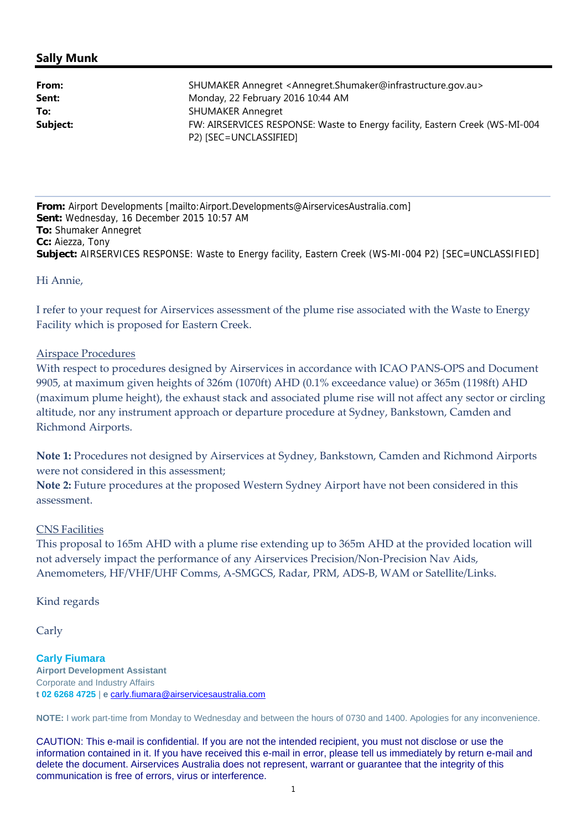# **Sally Munk**

| From:    | SHUMAKER Annegret <annegret.shumaker@infrastructure.gov.au></annegret.shumaker@infrastructure.gov.au> |  |  |
|----------|-------------------------------------------------------------------------------------------------------|--|--|
| Sent:    | Monday, 22 February 2016 10:44 AM                                                                     |  |  |
| To:      | <b>SHUMAKER Annegret</b>                                                                              |  |  |
| Subject: | FW: AIRSERVICES RESPONSE: Waste to Energy facility, Eastern Creek (WS-MI-004                          |  |  |
|          | P2) [SEC=UNCLASSIFIED]                                                                                |  |  |

**From:** Airport Developments [mailto:Airport.Developments@AirservicesAustralia.com] **Sent:** Wednesday, 16 December 2015 10:57 AM **To:** Shumaker Annegret **Cc:** Aiezza, Tony **Subject:** AIRSERVICES RESPONSE: Waste to Energy facility, Eastern Creek (WS-MI-004 P2) [SEC=UNCLASSIFIED]

Hi Annie,

I refer to your request for Airservices assessment of the plume rise associated with the Waste to Energy Facility which is proposed for Eastern Creek.

## Airspace Procedures

With respect to procedures designed by Airservices in accordance with ICAO PANS-OPS and Document 9905, at maximum given heights of 326m (1070ft) AHD (0.1% exceedance value) or 365m (1198ft) AHD (maximum plume height), the exhaust stack and associated plume rise will not affect any sector or circling altitude, nor any instrument approach or departure procedure at Sydney, Bankstown, Camden and Richmond Airports.

**Note 1:** Procedures not designed by Airservices at Sydney, Bankstown, Camden and Richmond Airports were not considered in this assessment;

**Note 2:** Future procedures at the proposed Western Sydney Airport have not been considered in this assessment.

#### CNS Facilities

This proposal to 165m AHD with a plume rise extending up to 365m AHD at the provided location will not adversely impact the performance of any Airservices Precision/Non‐Precision Nav Aids, Anemometers, HF/VHF/UHF Comms, A‐SMGCS, Radar, PRM, ADS‐B, WAM or Satellite/Links.

Kind regards

Carly

**Carly Fiumara Airport Development Assistant** Corporate and Industry Affairs **t 02 6268 4725** | **e** carly.fiumara@airservicesaustralia.com

**NOTE:** I work part-time from Monday to Wednesday and between the hours of 0730 and 1400. Apologies for any inconvenience.

CAUTION: This e-mail is confidential. If you are not the intended recipient, you must not disclose or use the information contained in it. If you have received this e-mail in error, please tell us immediately by return e-mail and delete the document. Airservices Australia does not represent, warrant or guarantee that the integrity of this communication is free of errors, virus or interference.